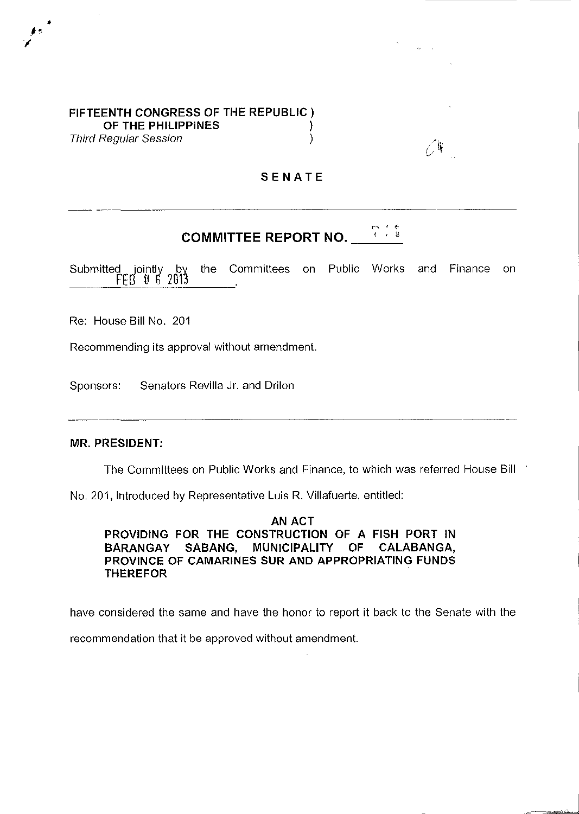## **FIFTEENTH CONGRESS OF THE REPUBLIC) OF THE PHILIPPINES )**  Third Regular Session (1999)

## **SENATE**

## $f'$   $\rightarrow$   $k$ **COMMITTEE REPORT NO.**

Submitted jointly by the Committees on Public Works  $\frac{FEB}{E}$  to 5 2013 and Finance on

Re: House **Bill** No. 201

•

Recommending its approval without amendment.

Sponsors: Senators Revilla Jr. and Drilon

## **MR. PRESIDENT:**

The Committees on Public Works and Finance, to which was referred House Bill

No. 201, introduced by Representative Luis R. Villafuerte, entitled:

**AN ACT PROVIDING FOR THE CONSTRUCTION OF A FISH PORT IN**  BARANGAY SABANG, MUNICIPALITY OF CALABANGA, **PROVINCE OF CAMARINES SUR AND APPROPRIATING FUNDS THEREFOR** 

have considered the same and have the honor to report **it** back to the Senate with the

recommendation that it be approved without amendment.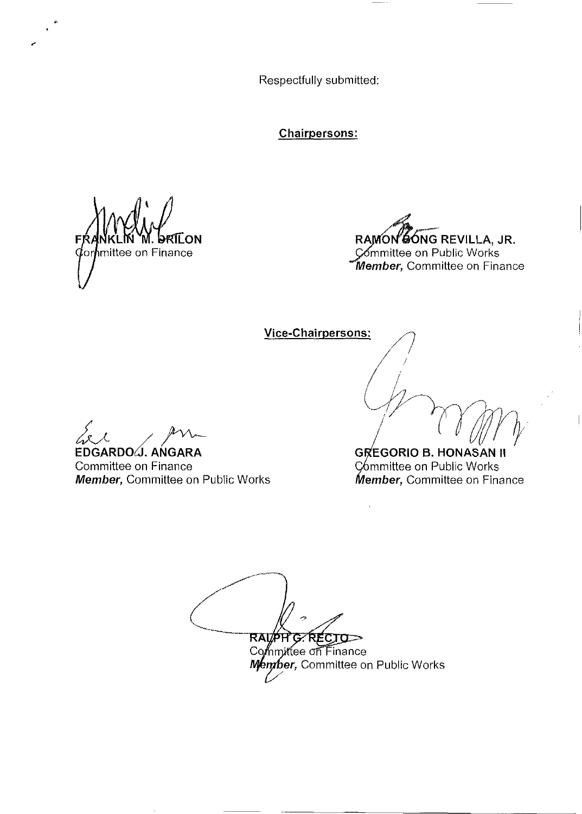Respectfully submitted:

**Chairpersons:** 

.<br>ON ∱mittee on Finance

RAMON SONG REVILLA, JR. Committee on Public Works Member, Committee on Finance

Vice-Chairpersons:

**GREGORIO B. HONASAN II** Committee on Public Works Member, Committee on Finance

**G.RECTO-**RAMPH Committee on Finance Member, Committee on Public Works

EDGARDO J. ANGARA

Committee on Finance Member, Committee on Public Works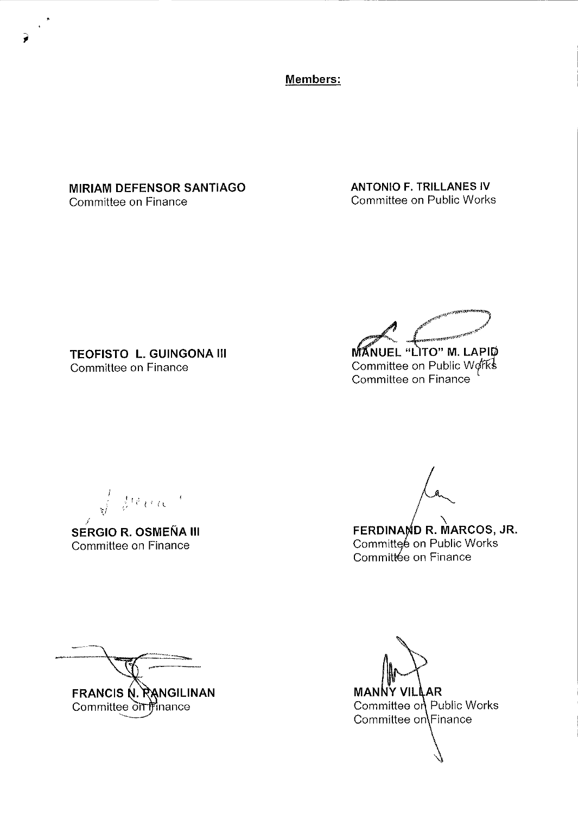Members:

**MIRIAM DEFENSOR SANTIAGO** Committee on Finance

**ANTONIO F. TRILLANES IV Committee on Public Works** 

**TEOFISTO L. GUINGONA III** Committee on Finance

**MANUEL "LITO" M. LAPID** 

Committee on Public Works<br>Committee on Finance

 $\frac{1}{\sqrt{2}}=\frac{1}{6} \frac{1}{2} \frac{1}{2} \frac{1}{2} \frac{1}{2} \frac{1}{2} \frac{1}{2} \frac{1}{2} \frac{1}{2} \frac{1}{2}$ 

**SERGIO R. OSMEÑA III** Committee on Finance

FERDINAMD R. MARCOS, JR.<br>Committee on Public Works Committée on Finance

FRANCIS N. RANGILINAN Committee on finance

**MANNY VILLAR** Committee on Public Works Committee on Finance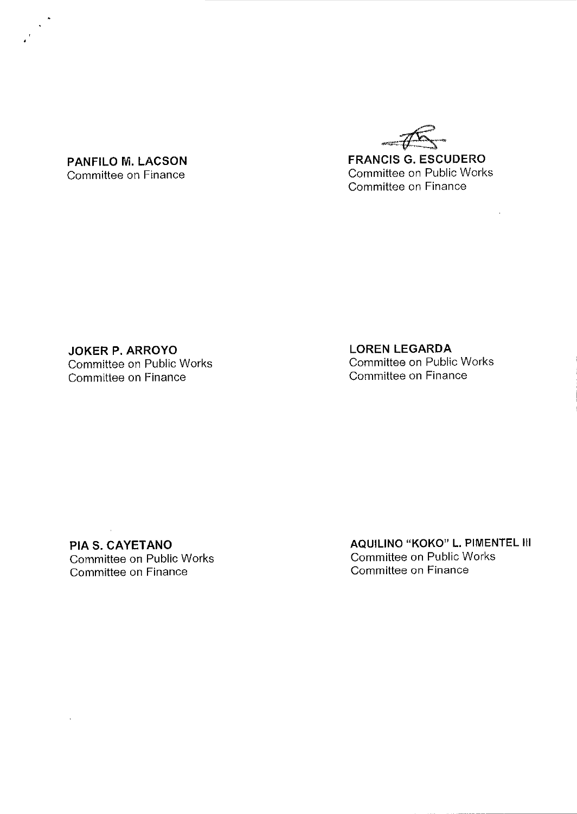~~ **FRANCIS G. ESCUDERO**  Committee on Public Works Committee on Finance

**PANFILO M. LACSON**  Committee on Finance

**JOKER P. ARROYO**  Committee on Public Works Committee on Finance

**LOREN LEGARDA**  Committee on Public Works Committee on Finance

**PIA S. CAYETANO**  Committee on Public Works Committee on Finance

 $\Delta \sim 10^{-11}$ 

**AQUILINO "KOKO" L. PIMENTEL III**  Committee on Public Works Committee on Finance